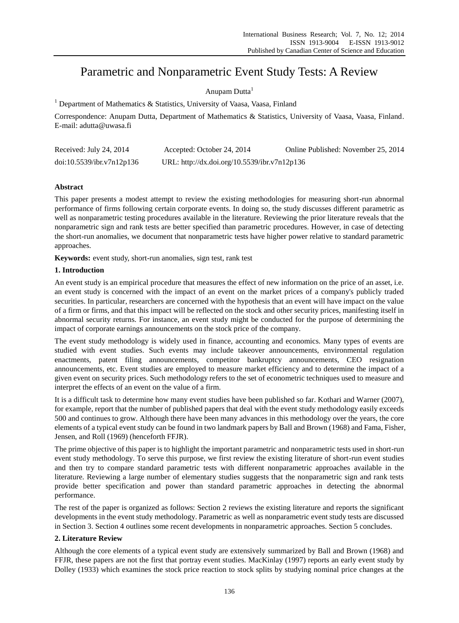# Parametric and Nonparametric Event Study Tests: A Review

# Anupam Dutta $<sup>1</sup>$ </sup>

<sup>1</sup> Department of Mathematics & Statistics, University of Vaasa, Vaasa, Finland

Correspondence: Anupam Dutta, Department of Mathematics & Statistics, University of Vaasa, Vaasa, Finland. E-mail: adutta@uwasa.fi

| Received: July 24, 2014   | Accepted: October 24, 2014                   | Online Published: November 25, 2014 |
|---------------------------|----------------------------------------------|-------------------------------------|
| doi:10.5539/ibr.v7n12p136 | URL: http://dx.doi.org/10.5539/ibr.v7n12p136 |                                     |

# **Abstract**

This paper presents a modest attempt to review the existing methodologies for measuring short-run abnormal performance of firms following certain corporate events. In doing so, the study discusses different parametric as well as nonparametric testing procedures available in the literature. Reviewing the prior literature reveals that the nonparametric sign and rank tests are better specified than parametric procedures. However, in case of detecting the short-run anomalies, we document that nonparametric tests have higher power relative to standard parametric approaches.

**Keywords:** event study, short-run anomalies, sign test, rank test

## **1. Introduction**

An event study is an empirical procedure that measures the effect of new information on the price of an asset, i.e. an event study is concerned with the impact of an event on the market prices of a company's publicly traded securities. In particular, researchers are concerned with the hypothesis that an event will have impact on the value of a firm or firms, and that this impact will be reflected on the stock and other security prices, manifesting itself in abnormal security returns. For instance, an event study might be conducted for the purpose of determining the impact of corporate earnings announcements on the stock price of the company.

The event study methodology is widely used in finance, accounting and economics. Many types of events are studied with event studies. Such events may include takeover announcements, environmental regulation enactments, patent filing announcements, competitor bankruptcy announcements, CEO resignation announcements, etc. Event studies are employed to measure market efficiency and to determine the impact of a given event on security prices. Such methodology refers to the set of econometric techniques used to measure and interpret the effects of an event on the value of a firm.

It is a difficult task to determine how many event studies have been published so far. Kothari and Warner (2007), for example, report that the number of published papers that deal with the event study methodology easily exceeds 500 and continues to grow. Although there have been many advances in this methodology over the years, the core elements of a typical event study can be found in two landmark papers by Ball and Brown (1968) and Fama, Fisher, Jensen, and Roll (1969) (henceforth FFJR).

The prime objective of this paper is to highlight the important parametric and nonparametric tests used in short-run event study methodology. To serve this purpose, we first review the existing literature of short-run event studies and then try to compare standard parametric tests with different nonparametric approaches available in the literature. Reviewing a large number of elementary studies suggests that the nonparametric sign and rank tests provide better specification and power than standard parametric approaches in detecting the abnormal performance.

The rest of the paper is organized as follows: Section 2 reviews the existing literature and reports the significant developments in the event study methodology. Parametric as well as nonparametric event study tests are discussed in Section 3. Section 4 outlines some recent developments in nonparametric approaches. Section 5 concludes.

# **2. Literature Review**

Although the core elements of a typical event study are extensively summarized by Ball and Brown (1968) and FFJR, these papers are not the first that portray event studies. MacKinlay (1997) reports an early event study by Dolley (1933) which examines the stock price reaction to stock splits by studying nominal price changes at the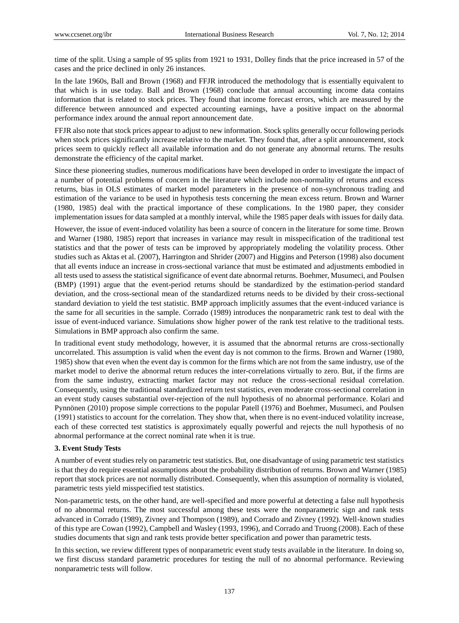time of the split. Using a sample of 95 splits from 1921 to 1931, Dolley finds that the price increased in 57 of the cases and the price declined in only 26 instances.

In the late 1960s, Ball and Brown (1968) and FFJR introduced the methodology that is essentially equivalent to that which is in use today. Ball and Brown (1968) conclude that annual accounting income data contains information that is related to stock prices. They found that income forecast errors, which are measured by the difference between announced and expected accounting earnings, have a positive impact on the abnormal performance index around the annual report announcement date.

FFJR also note that stock prices appear to adjust to new information. Stock splits generally occur following periods when stock prices significantly increase relative to the market. They found that, after a split announcement, stock prices seem to quickly reflect all available information and do not generate any abnormal returns. The results demonstrate the efficiency of the capital market.

Since these pioneering studies, numerous modifications have been developed in order to investigate the impact of a number of potential problems of concern in the literature which include non-normality of returns and excess returns, bias in OLS estimates of market model parameters in the presence of non-synchronous trading and estimation of the variance to be used in hypothesis tests concerning the mean excess return. Brown and Warner (1980, 1985) deal with the practical importance of these complications. In the 1980 paper, they consider implementation issues for data sampled at a monthly interval, while the 1985 paper deals with issues for daily data.

However, the issue of event-induced volatility has been a source of concern in the literature for some time. Brown and Warner (1980, 1985) report that increases in variance may result in misspecification of the traditional test statistics and that the power of tests can be improved by appropriately modeling the volatility process. Other studies such as Aktas et al. (2007), Harrington and Shrider (2007) and Higgins and Peterson (1998) also document that all events induce an increase in cross-sectional variance that must be estimated and adjustments embodied in all tests used to assess the statistical significance of event date abnormal returns. Boehmer, Musumeci, and Poulsen (BMP) (1991) argue that the event-period returns should be standardized by the estimation-period standard deviation, and the cross-sectional mean of the standardized returns needs to be divided by their cross-sectional standard deviation to yield the test statistic. BMP approach implicitly assumes that the event-induced variance is the same for all securities in the sample. Corrado (1989) introduces the nonparametric rank test to deal with the issue of event-induced variance. Simulations show higher power of the rank test relative to the traditional tests. Simulations in BMP approach also confirm the same.

In traditional event study methodology, however, it is assumed that the abnormal returns are cross-sectionally uncorrelated. This assumption is valid when the event day is not common to the firms. Brown and Warner (1980, 1985) show that even when the event day is common for the firms which are not from the same industry, use of the market model to derive the abnormal return reduces the inter-correlations virtually to zero. But, if the firms are from the same industry, extracting market factor may not reduce the cross-sectional residual correlation. Consequently, using the traditional standardized return test statistics, even moderate cross-sectional correlation in an event study causes substantial over-rejection of the null hypothesis of no abnormal performance. Kolari and Pynnönen (2010) propose simple corrections to the popular Patell (1976) and Boehmer, Musumeci, and Poulsen (1991) statistics to account for the correlation. They show that, when there is no event-induced volatility increase, each of these corrected test statistics is approximately equally powerful and rejects the null hypothesis of no abnormal performance at the correct nominal rate when it is true.

## **3. Event Study Tests**

A number of event studies rely on parametric test statistics. But, one disadvantage of using parametric test statistics is that they do require essential assumptions about the probability distribution of returns. Brown and Warner (1985) report that stock prices are not normally distributed. Consequently, when this assumption of normality is violated, parametric tests yield misspecified test statistics.

Non-parametric tests, on the other hand, are well-specified and more powerful at detecting a false null hypothesis of no abnormal returns. The most successful among these tests were the nonparametric sign and rank tests advanced in Corrado (1989), Zivney and Thompson (1989), and Corrado and Zivney (1992). Well-known studies of this type are Cowan (1992), Campbell and Wasley (1993, 1996), and Corrado and Truong (2008). Each of these studies documents that sign and rank tests provide better specification and power than parametric tests.

In this section, we review different types of nonparametric event study tests available in the literature. In doing so, we first discuss standard parametric procedures for testing the null of no abnormal performance. Reviewing nonparametric tests will follow.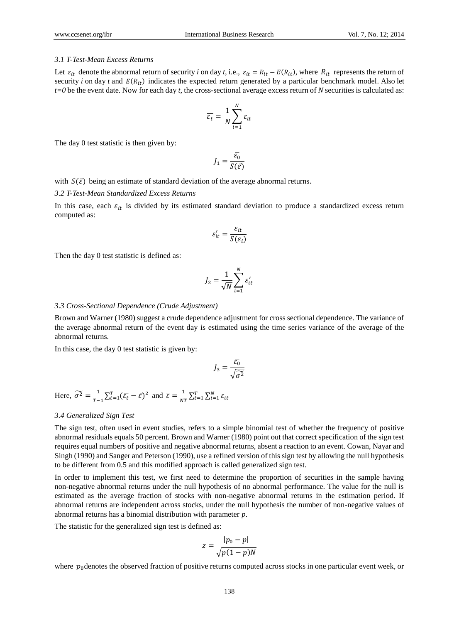#### *3.1 T-Test-Mean Excess Returns*

Let  $\varepsilon_{it}$  denote the abnormal return of security *i* on day *t*, i.e.,  $\varepsilon_{it} = R_{it} - E(R_{it})$ , where  $R_{it}$  represents the return of security *i* on day *t* and  $E(R_{it})$  indicates the expected return generated by a particular benchmark model. Also let *t=0* be the event date. Now for each day *t*, the cross-sectional average excess return of *N* securities is calculated as:

$$
\overline{\varepsilon_t} = \frac{1}{N} \sum_{i=1}^N \varepsilon_{it}
$$

The day 0 test statistic is then given by:

$$
J_1 = \frac{\bar{\varepsilon_0}}{S(\bar{\varepsilon})}
$$

with  $S(\bar{\varepsilon})$  being an estimate of standard deviation of the average abnormal returns.

*3.2 T-Test-Mean Standardized Excess Returns*

In this case, each  $\varepsilon_{it}$  is divided by its estimated standard deviation to produce a standardized excess return computed as:

$$
\varepsilon'_{it} = \frac{\varepsilon_{it}}{S(\varepsilon_i)}
$$

Then the day 0 test statistic is defined as:

$$
J_2 = \frac{1}{\sqrt{N}} \sum_{i=1}^N \varepsilon'_{it}
$$

#### *3.3 Cross-Sectional Dependence (Crude Adjustment)*

Brown and Warner (1980) suggest a crude dependence adjustment for cross sectional dependence. The variance of the average abnormal return of the event day is estimated using the time series variance of the average of the abnormal returns.

In this case, the day 0 test statistic is given by:

$$
J_3 = \frac{\bar{\varepsilon}_0}{\sqrt{\tilde{\sigma}^2}}
$$

Here, 
$$
\widetilde{\sigma^2} = \frac{1}{T-1} \sum_{t=1}^T (\overline{\varepsilon_t} - \overline{\varepsilon})^2
$$
 and  $\overline{\varepsilon} = \frac{1}{NT} \sum_{t=1}^T \sum_{i=1}^N \varepsilon_{it}$ 

#### *3.4 Generalized Sign Test*

The sign test, often used in event studies, refers to a simple binomial test of whether the frequency of positive abnormal residuals equals 50 percent. Brown and Warner (1980) point out that correct specification of the sign test requires equal numbers of positive and negative abnormal returns, absent a reaction to an event. Cowan, Nayar and Singh (1990) and Sanger and Peterson (1990), use a refined version of this sign test by allowing the null hypothesis to be different from 0.5 and this modified approach is called generalized sign test.

In order to implement this test, we first need to determine the proportion of securities in the sample having non-negative abnormal returns under the null hypothesis of no abnormal performance. The value for the null is estimated as the average fraction of stocks with non-negative abnormal returns in the estimation period. If abnormal returns are independent across stocks, under the null hypothesis the number of non-negative values of abnormal returns has a binomial distribution with parameter *p*.

The statistic for the generalized sign test is defined as:

$$
z = \frac{|p_0 - p|}{\sqrt{p(1 - p)N}}
$$

where  $p_0$  denotes the observed fraction of positive returns computed across stocks in one particular event week, or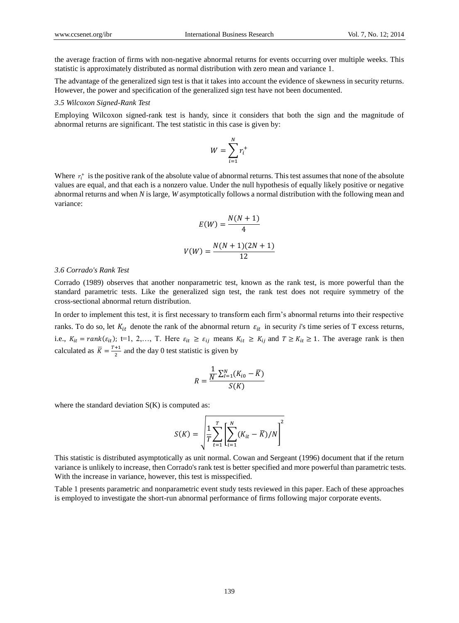the average fraction of firms with non-negative abnormal returns for events occurring over multiple weeks. This statistic is approximately distributed as normal distribution with zero mean and variance 1.

The advantage of the generalized sign test is that it takes into account the evidence of skewness in security returns. However, the power and specification of the generalized sign test have not been documented.

#### *3.5 Wilcoxon Signed-Rank Test*

Employing Wilcoxon signed-rank test is handy, since it considers that both the sign and the magnitude of abnormal returns are significant. The test statistic in this case is given by:

$$
W = \sum_{i=1}^{N} r_i^+
$$

Where  $r_i^+$  is the positive rank of the absolute value of abnormal returns. This test assumes that none of the absolute values are equal, and that each is a nonzero value. Under the null hypothesis of equally likely positive or negative abnormal returns and when *N* is large, *W* asymptotically follows a normal distribution with the following mean and variance:

$$
E(W) = \frac{N(N + 1)}{4}
$$

$$
V(W) = \frac{N(N + 1)(2N + 1)}{12}
$$

## *3.6 Corrado's Rank Test*

Corrado (1989) observes that another nonparametric test, known as the rank test, is more powerful than the standard parametric tests. Like the generalized sign test, the rank test does not require symmetry of the cross-sectional abnormal return distribution.

In order to implement this test, it is first necessary to transform each firm's abnormal returns into their respective ranks. To do so, let  $K_{it}$  denote the rank of the abnormal return  $\varepsilon_{it}$  in security *i*'s time series of T excess returns, i.e.,  $K_{it} = rank(\varepsilon_{it})$ ; t=1, 2,..., T. Here  $\varepsilon_{it} \geq \varepsilon_{ij}$  means  $K_{it} \geq K_{ij}$  and  $T \geq K_{it} \geq 1$ . The average rank is then calculated as  $\bar{K} = \frac{T+1}{2}$  $\frac{+1}{2}$  and the day 0 test statistic is given by

$$
R = \frac{\frac{1}{N} \sum_{I=1}^{N} (K_{i0} - \overline{K})}{S(K)}
$$

where the standard deviation  $S(K)$  is computed as:

$$
S(K) = \sqrt{\frac{1}{T} \sum_{t=1}^{T} \left[ \sum_{i=1}^{N} (K_{it} - \overline{K})/N \right]^2}
$$

This statistic is distributed asymptotically as unit normal. Cowan and Sergeant (1996) document that if the return variance is unlikely to increase, then Corrado's rank test is better specified and more powerful than parametric tests. With the increase in variance, however, this test is misspecified.

Table 1 presents parametric and nonparametric event study tests reviewed in this paper. Each of these approaches is employed to investigate the short-run abnormal performance of firms following major corporate events.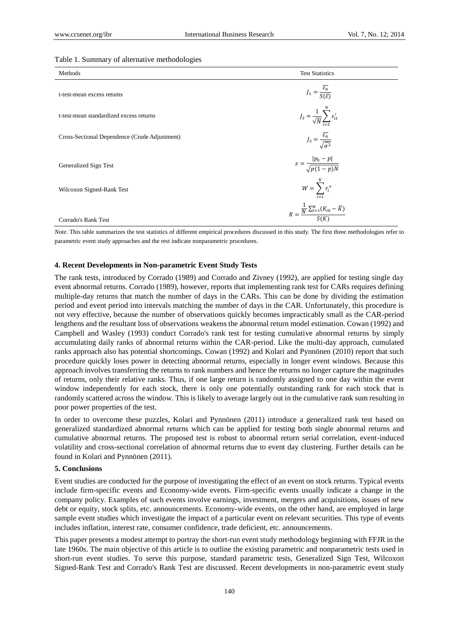## Table 1. Summary of alternative methodologies

| Methods                                       | <b>Test Statistics</b>                                                        |
|-----------------------------------------------|-------------------------------------------------------------------------------|
| t-test-mean excess returns                    | $J_1 = \frac{\overline{\varepsilon_0}}{S(\overline{\varepsilon})}$            |
| t-test-mean standardized excess returns       | $J_2 = \frac{1}{\sqrt{N}} \sum_{i=1}^{N} \varepsilon'_{it}$                   |
| Cross-Sectional Dependence (Crude Adjustment) | $J_3 = \frac{\overline{\varepsilon_0}}{\sqrt{\overline{\widehat{\sigma}^2}}}$ |
| Generalized Sign Test                         | $z = \frac{ p_0 - p }{\sqrt{p(1-p)N}}$                                        |
| Wilcoxon Signed-Rank Test                     | $W = \sum_{i=1}^{N} r_i^+$                                                    |
| Corrado's Rank Test                           | $R = \frac{\frac{1}{N} \sum_{l=1}^{N} (K_{i0} - \overline{K})}{S(K)}$         |

*Note*. This table summarizes the test statistics of different empirical procedures discussed in this study. The first three methodologies refer to parametric event study approaches and the rest indicate nonparametric procedures.

#### **4. Recent Developments in Non-parametric Event Study Tests**

The rank tests, introduced by Corrado (1989) and Corrado and Zivney (1992), are applied for testing single day event abnormal returns. Corrado (1989), however, reports that implementing rank test for CARs requires defining multiple-day returns that match the number of days in the CARs. This can be done by dividing the estimation period and event period into intervals matching the number of days in the CAR. Unfortunately, this procedure is not very effective, because the number of observations quickly becomes impracticably small as the CAR-period lengthens and the resultant loss of observations weakens the abnormal return model estimation. Cowan (1992) and Campbell and Wasley (1993) conduct Corrado's rank test for testing cumulative abnormal returns by simply accumulating daily ranks of abnormal returns within the CAR-period. Like the multi-day approach, cumulated ranks approach also has potential shortcomings. Cowan (1992) and Kolari and Pynnönen (2010) report that such procedure quickly loses power in detecting abnormal returns, especially in longer event windows. Because this approach involves transferring the returns to rank numbers and hence the returns no longer capture the magnitudes of returns, only their relative ranks. Thus, if one large return is randomly assigned to one day within the event window independently for each stock, there is only one potentially outstanding rank for each stock that is randomly scattered across the window. This is likely to average largely out in the cumulative rank sum resulting in poor power properties of the test.

In order to overcome these puzzles, Kolari and Pynnönen (2011) introduce a generalized rank test based on generalized standardized abnormal returns which can be applied for testing both single abnormal returns and cumulative abnormal returns. The proposed test is robust to abnormal return serial correlation, event-induced volatility and cross-sectional correlation of abnormal returns due to event day clustering. Further details can be found in Kolari and Pynnönen (2011).

#### **5. Conclusions**

Event studies are conducted for the purpose of investigating the effect of an event on stock returns. Typical events include firm-specific events and Economy-wide events. Firm-specific events usually indicate a change in the company policy. Examples of such events involve earnings, investment, mergers and acquisitions, issues of new debt or equity, stock splits, etc. announcements. Economy-wide events, on the other hand, are employed in large sample event studies which investigate the impact of a particular event on relevant securities. This type of events includes inflation, interest rate, consumer confidence, trade deficient, etc. announcements.

This paper presents a modest attempt to portray the short-run event study methodology beginning with FFJR in the late 1960s. The main objective of this article is to outline the existing parametric and nonparametric tests used in short-run event studies. To serve this purpose, standard parametric tests, Generalized Sign Test, Wilcoxon Signed-Rank Test and Corrado's Rank Test are discussed. Recent developments in non-parametric event study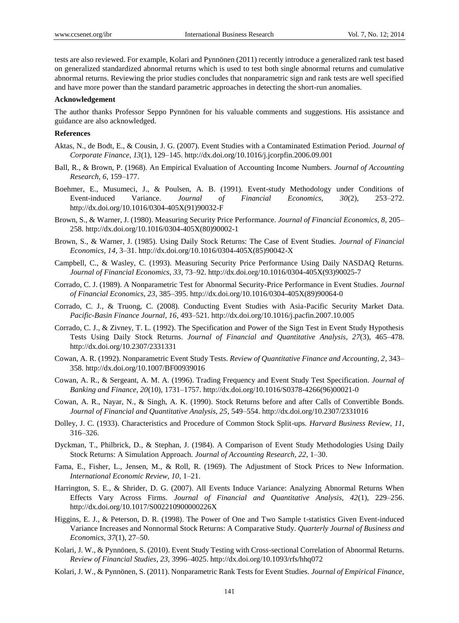tests are also reviewed. For example, Kolari and Pynnönen (2011) recently introduce a generalized rank test based on generalized standardized abnormal returns which is used to test both single abnormal returns and cumulative abnormal returns. Reviewing the prior studies concludes that nonparametric sign and rank tests are well specified and have more power than the standard parametric approaches in detecting the short-run anomalies.

#### **Acknowledgement**

The author thanks Professor Seppo Pynnönen for his valuable comments and suggestions. His assistance and guidance are also acknowledged.

#### **References**

- Aktas, N., de Bodt, E., & Cousin, J. G. (2007). Event Studies with a Contaminated Estimation Period. *Journal of Corporate Finance, 13*(1), 129–145. http://dx.doi.org/10.1016/j.jcorpfin.2006.09.001
- Ball, R., & Brown, P. (1968). An Empirical Evaluation of Accounting Income Numbers. *Journal of Accounting Research, 6*, 159–177.
- Boehmer, E., Musumeci, J., & Poulsen, A. B. (1991). Event-study Methodology under Conditions of Event-induced Variance. *Journal of Financial Economics, 30*(2), 253–272. http://dx.doi.org/10.1016/0304-405X(91)90032-F
- Brown, S., & Warner, J. (1980). Measuring Security Price Performance. *Journal of Financial Economics, 8*, 205– 258. http://dx.doi.org/10.1016/0304-405X(80)90002-1
- Brown, S., & Warner, J. (1985). Using Daily Stock Returns: The Case of Event Studies*. Journal of Financial Economics, 14*, 3–31. http://dx.doi.org/10.1016/0304-405X(85)90042-X
- Campbell, C., & Wasley, C. (1993). Measuring Security Price Performance Using Daily NASDAQ Returns. *Journal of Financial Economics, 33*, 73–92. http://dx.doi.org/10.1016/0304-405X(93)90025-7
- Corrado, C. J. (1989). A Nonparametric Test for Abnormal Security-Price Performance in Event Studies. *Journal of Financial Economics, 23*, 385–395. http://dx.doi.org/10.1016/0304-405X(89)90064-0
- Corrado, C. J., & Truong, C. (2008). Conducting Event Studies with Asia-Pacific Security Market Data. *Pacific-Basin Finance Journal, 16*, 493–521. http://dx.doi.org/10.1016/j.pacfin.2007.10.005
- Corrado, C. J., & Zivney, T. L. (1992). The Specification and Power of the Sign Test in Event Study Hypothesis Tests Using Daily Stock Returns. *Journal of Financial and Quantitative Analysis, 27*(3), 465–478. http://dx.doi.org/10.2307/2331331
- Cowan, A. R. (1992). Nonparametric Event Study Tests. *Review of Quantitative Finance and Accounting, 2*, 343– 358. http://dx.doi.org/10.1007/BF00939016
- Cowan, A. R., & Sergeant, A. M. A. (1996). Trading Frequency and Event Study Test Specification. *Journal of Banking and Finance, 20*(10), 1731–1757. http://dx.doi.org/10.1016/S0378-4266(96)00021-0
- Cowan, A. R., Nayar, N., & Singh, A. K. (1990). Stock Returns before and after Calls of Convertible Bonds. *Journal of Financial and Quantitative Analysis, 25*, 549–554. http://dx.doi.org/10.2307/2331016
- Dolley, J. C. (1933). Characteristics and Procedure of Common Stock Split-ups*. Harvard Business Review, 11*, 316–326.
- Dyckman, T., Philbrick, D., & Stephan, J. (1984). A Comparison of Event Study Methodologies Using Daily Stock Returns: A Simulation Approach. *Journal of Accounting Research, 22*, 1–30.
- Fama, E., Fisher, L., Jensen, M., & Roll, R. (1969). The Adjustment of Stock Prices to New Information. *International Economic Review, 10*, 1–21.
- Harrington, S. E., & Shrider, D. G. (2007). All Events Induce Variance: Analyzing Abnormal Returns When Effects Vary Across Firms. *Journal of Financial and Quantitative Analysis, 42*(1), 229–256. http://dx.doi.org/10.1017/S002210900000226X
- Higgins, E. J., & Peterson, D. R. (1998). The Power of One and Two Sample t-statistics Given Event-induced Variance Increases and Nonnormal Stock Returns: A Comparative Study. *Quarterly Journal of Business and Economics, 37*(1), 27–50.
- Kolari, J. W., & Pynnönen, S. (2010). Event Study Testing with Cross-sectional Correlation of Abnormal Returns. *Review of Financial Studies, 23*, 3996–4025. http://dx.doi.org/10.1093/rfs/hhq072
- Kolari, J. W., & Pynnönen, S. (2011). Nonparametric Rank Tests for Event Studies. *Journal of Empirical Finance,*